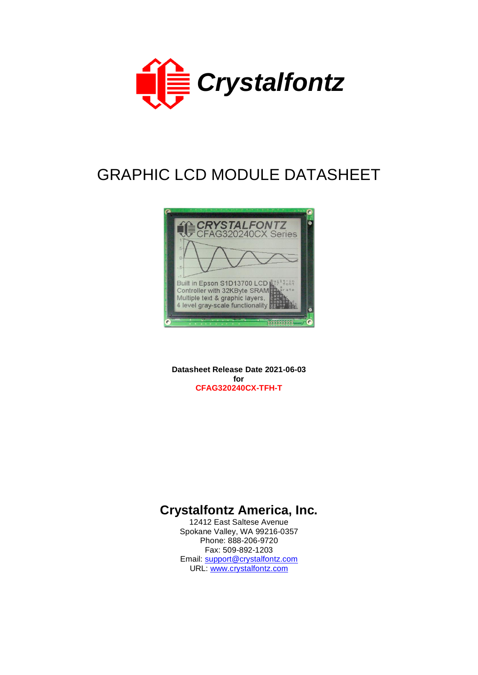

# GRAPHIC LCD MODULE DATASHEET



**Datasheet Release Date 2021-06-03 for CFAG320240CX-TFH-T**

## **Crystalfontz America, Inc.**

12412 East Saltese Avenue Spokane Valley, WA 99216-0357 Phone: 888-206-9720 Fax: 509-892-1203 Email: [support@crystalfontz.com](mailto:support@crystalfontz.com) URL: [www.crystalfontz.com](http://www.crystalfontz.com/)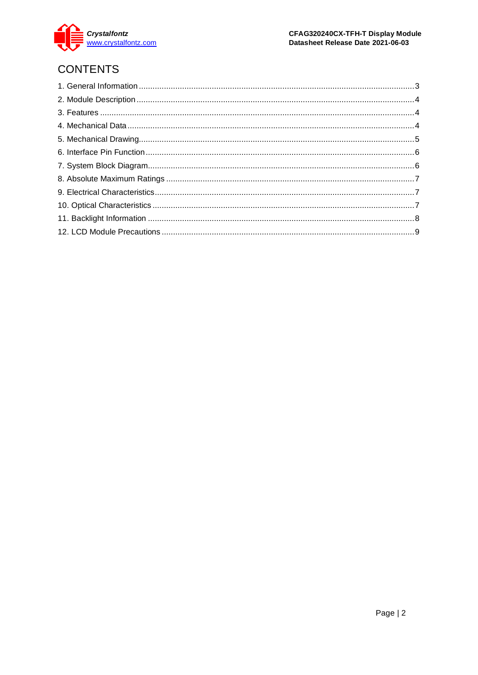

## **CONTENTS**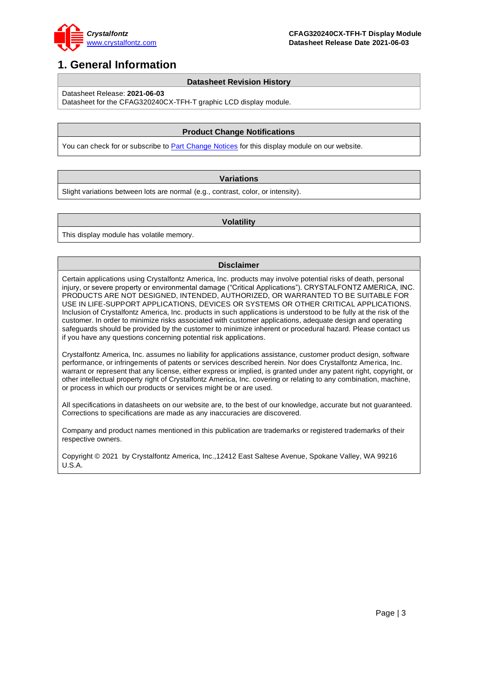

## <span id="page-2-0"></span>**1. General Information**

#### **Datasheet Revision History**

Datasheet Release: **2021-06-03**

Datasheet for the CFAG320240CX-TFH-T graphic LCD display module.

### **Product Change Notifications**

You can check for or subscribe to **Part Change Notices** for this display module on our website.

#### **Variations**

Slight variations between lots are normal (e.g., contrast, color, or intensity).

#### **Volatility**

This display module has volatile memory.

#### **Disclaimer**

Certain applications using Crystalfontz America, Inc. products may involve potential risks of death, personal injury, or severe property or environmental damage ("Critical Applications"). CRYSTALFONTZ AMERICA, INC. PRODUCTS ARE NOT DESIGNED, INTENDED, AUTHORIZED, OR WARRANTED TO BE SUITABLE FOR USE IN LIFE-SUPPORT APPLICATIONS, DEVICES OR SYSTEMS OR OTHER CRITICAL APPLICATIONS. Inclusion of Crystalfontz America, Inc. products in such applications is understood to be fully at the risk of the customer. In order to minimize risks associated with customer applications, adequate design and operating safeguards should be provided by the customer to minimize inherent or procedural hazard. Please contact us if you have any questions concerning potential risk applications.

Crystalfontz America, Inc. assumes no liability for applications assistance, customer product design, software performance, or infringements of patents or services described herein. Nor does Crystalfontz America, Inc. warrant or represent that any license, either express or implied, is granted under any patent right, copyright, or other intellectual property right of Crystalfontz America, Inc. covering or relating to any combination, machine, or process in which our products or services might be or are used.

All specifications in datasheets on our website are, to the best of our knowledge, accurate but not guaranteed. Corrections to specifications are made as any inaccuracies are discovered.

Company and product names mentioned in this publication are trademarks or registered trademarks of their respective owners.

Copyright © 2021 by Crystalfontz America, Inc.,12412 East Saltese Avenue, Spokane Valley, WA 99216 U.S.A.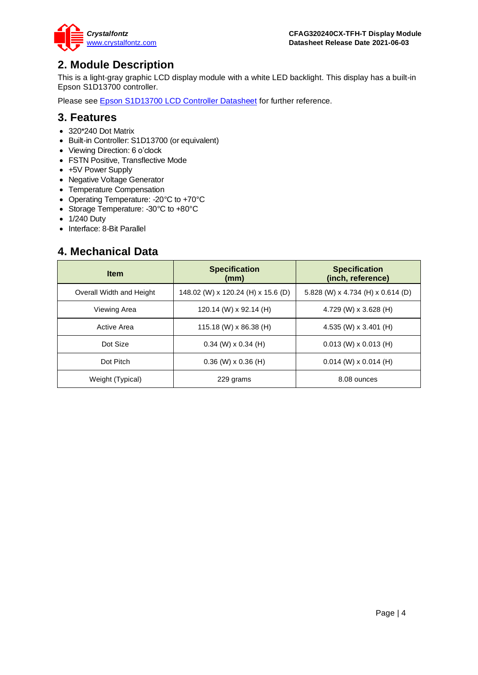

## <span id="page-3-0"></span>**2. Module Description**

This is a light-gray graphic LCD display module with a white LED backlight. This display has a built-in Epson S1D13700 controller.

Please see **Epson S1D13700 LCD Controller Datasheet** for further reference.

### <span id="page-3-1"></span>**3. Features**

- 320\*240 Dot Matrix
- Built-in Controller: S1D13700 (or equivalent)
- Viewing Direction: 6 o'clock
- FSTN Positive, Transflective Mode
- +5V Power Supply
- Negative Voltage Generator
- Temperature Compensation
- Operating Temperature: -20°C to +70°C
- Storage Temperature: -30°C to +80°C
- 1/240 Duty
- Interface: 8-Bit Parallel

### <span id="page-3-2"></span>**4. Mechanical Data**

| <b>Item</b>              | <b>Specification</b><br>(mm)       | <b>Specification</b><br>(inch, reference) |
|--------------------------|------------------------------------|-------------------------------------------|
| Overall Width and Height | 148.02 (W) x 120.24 (H) x 15.6 (D) | 5.828 (W) x 4.734 (H) x 0.614 (D)         |
| Viewing Area             | 120.14 (W) x 92.14 (H)             | 4.729 (W) x 3.628 (H)                     |
| Active Area              | 115.18 (W) x 86.38 (H)             | 4.535 (W) x 3.401 (H)                     |
| Dot Size                 | $0.34$ (W) x $0.34$ (H)            | $0.013$ (W) x $0.013$ (H)                 |
| Dot Pitch                | $0.36$ (W) x $0.36$ (H)            | $0.014$ (W) x $0.014$ (H)                 |
| Weight (Typical)         | 229 grams                          | 8.08 ounces                               |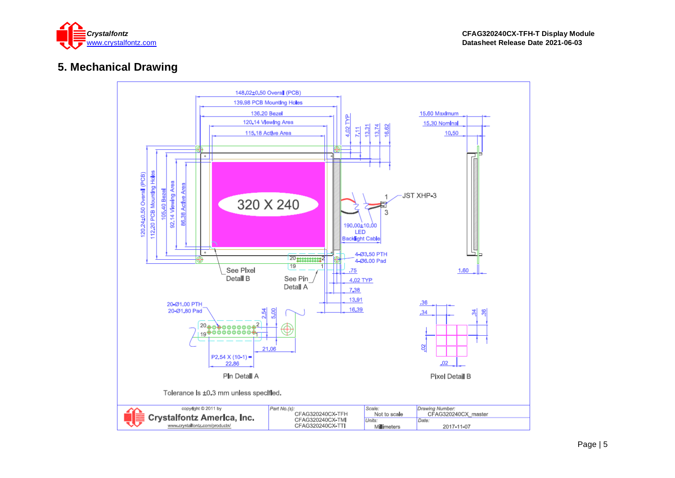

## **5. Mechanical Drawing**

<span id="page-4-0"></span>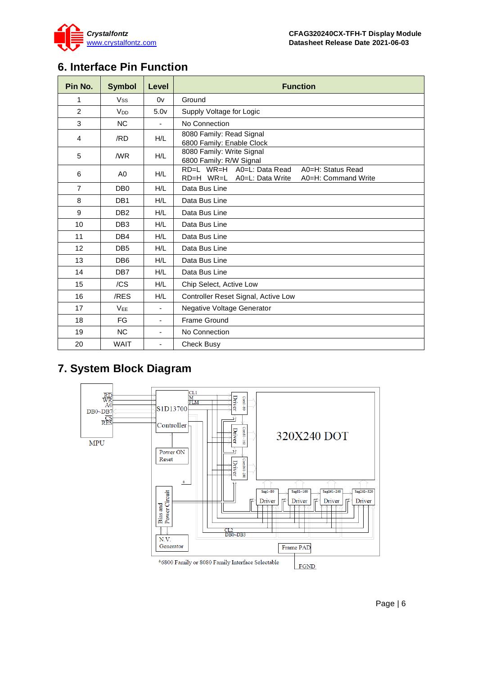

## <span id="page-5-0"></span>**6. Interface Pin Function**

| Pin No.        | <b>Symbol</b>         | Level                    | <b>Function</b>                                                                                        |  |  |  |  |
|----------------|-----------------------|--------------------------|--------------------------------------------------------------------------------------------------------|--|--|--|--|
| 1              | <b>Vss</b>            | 0v                       | Ground                                                                                                 |  |  |  |  |
| $\overline{2}$ | <b>V<sub>DD</sub></b> | 5.0 <sub>V</sub>         | Supply Voltage for Logic                                                                               |  |  |  |  |
| 3              | N <sub>C</sub>        | $\blacksquare$           | No Connection                                                                                          |  |  |  |  |
| $\overline{4}$ | /RD                   | H/L                      | 8080 Family: Read Signal<br>6800 Family: Enable Clock                                                  |  |  |  |  |
| 5              | /WR                   | H/L                      | 8080 Family: Write Signal<br>6800 Family: R/W Signal                                                   |  |  |  |  |
| 6              | A <sub>0</sub>        | H/L                      | RD=L WR=H A0=L: Data Read<br>A0=H: Status Read<br>RD=H WR=L<br>A0=L: Data Write<br>A0=H: Command Write |  |  |  |  |
| $\overline{7}$ | DB <sub>0</sub>       | H/L                      | Data Bus Line                                                                                          |  |  |  |  |
| 8              | DB <sub>1</sub>       | H/L                      | Data Bus Line                                                                                          |  |  |  |  |
| 9              | DB <sub>2</sub>       | H/L                      | Data Bus Line                                                                                          |  |  |  |  |
| 10             | DB <sub>3</sub>       | H/L                      | Data Bus Line                                                                                          |  |  |  |  |
| 11             | DB <sub>4</sub>       | H/L                      | Data Bus Line                                                                                          |  |  |  |  |
| 12             | DB <sub>5</sub>       | H/L                      | Data Bus Line                                                                                          |  |  |  |  |
| 13             | DB <sub>6</sub>       | H/L                      | Data Bus Line                                                                                          |  |  |  |  |
| 14             | DB <sub>7</sub>       | H/L                      | Data Bus Line                                                                                          |  |  |  |  |
| 15             | /CS                   | H/L                      | Chip Select, Active Low                                                                                |  |  |  |  |
| 16             | /RES                  | H/L                      | Controller Reset Signal, Active Low                                                                    |  |  |  |  |
| 17             | <b>VEE</b>            | $\overline{\phantom{a}}$ | Negative Voltage Generator                                                                             |  |  |  |  |
| 18             | FG                    | $\overline{\phantom{a}}$ | <b>Frame Ground</b>                                                                                    |  |  |  |  |
| 19             | <b>NC</b>             | $\overline{a}$           | No Connection                                                                                          |  |  |  |  |
| 20             | <b>WAIT</b>           | $\blacksquare$           | <b>Check Busy</b>                                                                                      |  |  |  |  |

## <span id="page-5-1"></span>**7. System Block Diagram**

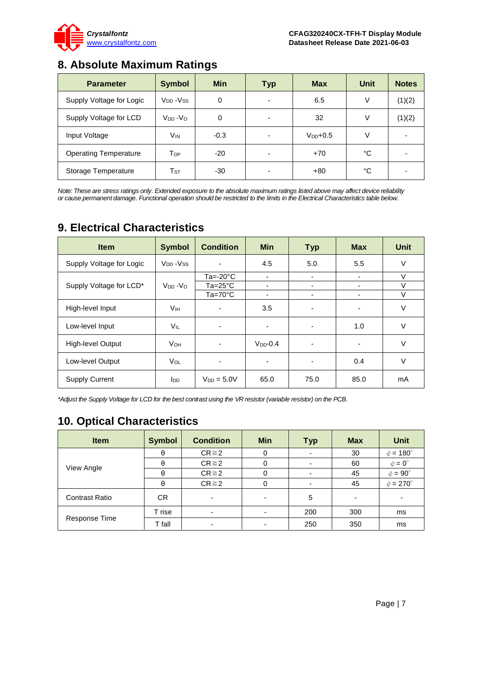

## <span id="page-6-0"></span>**8. Absolute Maximum Ratings**

| <b>Parameter</b>             | <b>Symbol</b>            | <b>Min</b> | <b>Typ</b> | <b>Max</b>   | <b>Unit</b> | <b>Notes</b> |
|------------------------------|--------------------------|------------|------------|--------------|-------------|--------------|
| Supply Voltage for Logic     | $V_{DD} - V_{SS}$        | 0          | -          | 6.5          | V           | (1)(2)       |
| Supply Voltage for LCD       | $V_{DD} - V_{O}$         | $\Omega$   | ٠          | 32           | V           | (1)(2)       |
| Input Voltage                | V <sub>IN</sub>          | $-0.3$     | -          | $V_{DD}+0.5$ | V           | -            |
| <b>Operating Temperature</b> | Top                      | $-20$      | -          | $+70$        | °C          |              |
| Storage Temperature          | $\mathsf{T}_{\text{ST}}$ | -30        |            | $+80$        | °C          |              |

*Note: These are stress ratings only. Extended exposure to the absolute maximum ratings listed above may affect device reliability or cause permanent damage. Functional operation should be restricted to the limits in the Electrical Characteristics table below.*

| <b>Item</b>              | <b>Symbol</b>                     | <b>Condition</b>         | <b>Min</b>  | <b>Typ</b>     | <b>Max</b> | <b>Unit</b> |
|--------------------------|-----------------------------------|--------------------------|-------------|----------------|------------|-------------|
| Supply Voltage for Logic | V <sub>DD</sub> - V <sub>SS</sub> | ٠                        | 4.5         | 5.0            | 5.5        | V           |
|                          |                                   | Ta=- $20^{\circ}$ C      | ٠           | ۰              | ۰          | $\vee$      |
| Supply Voltage for LCD*  | $V_{DD} - V_{O}$                  | $Ta = 25^{\circ}C$       | ٠           | ٠              | ۰          | V           |
|                          |                                   | $Ta=70^{\circ}C$         | ٠           | ۰              | ۰          | $\vee$      |
| High-level Input         | <b>V<sub>IH</sub></b>             | $\overline{\phantom{0}}$ | 3.5         | $\blacksquare$ | ٠          | $\vee$      |
| Low-level Input          | <b>VIL</b>                        | $\blacksquare$           | ٠           | ۰              | 1.0        | $\vee$      |
| High-level Output        | <b>V<sub>OH</sub></b>             | ٠                        | $VDD - 0.4$ | ٠              | ٠          | V           |
| Low-level Output         | VOL                               | ٠                        | ٠           |                | 0.4        | $\vee$      |
| <b>Supply Current</b>    | <b>I</b> <sub>DD</sub>            | $V_{DD} = 5.0V$          | 65.0        | 75.0           | 85.0       | mA          |

### <span id="page-6-1"></span>**9. Electrical Characteristics**

*\*Adjust the Supply Voltage for LCD for the best contrast using the VR resistor (variable resistor) on the PCB.*

## <span id="page-6-2"></span>**10. Optical Characteristics**

| <b>Item</b>           | <b>Symbol</b> | <b>Condition</b>         | <b>Min</b> | <b>Typ</b>     | <b>Max</b> | <b>Unit</b>          |
|-----------------------|---------------|--------------------------|------------|----------------|------------|----------------------|
| View Angle            | θ             | $CR \ge 2$               | 0          | ٠              | 30         | $\phi = 180^\circ$   |
|                       | θ             | $CR \ge 2$               | 0          | ٠              | 60         | $\phi = 0^{\circ}$   |
|                       | θ             | $CR \ge 2$               | 0          | ٠              | 45         | $\phi = 90^\circ$    |
|                       | θ             | $CR \ge 2$               | 0          | $\blacksquare$ | 45         | $\phi = 270^{\circ}$ |
| <b>Contrast Ratio</b> | CR.           | $\overline{\phantom{0}}$ | ۰          | 5              |            |                      |
| Response Time         | T rise        | $\overline{\phantom{0}}$ | ۰          | 200            | 300        | ms                   |
|                       | T fall        | $\overline{\phantom{0}}$ | ۰          | 250            | 350        | ms                   |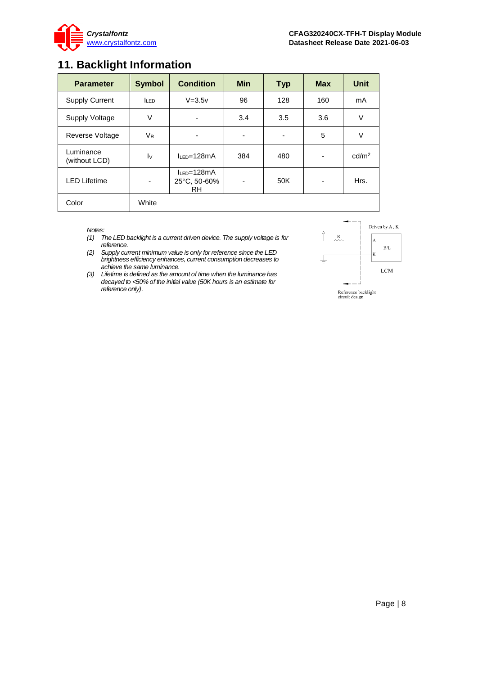

## <span id="page-7-0"></span>**11. Backlight Information**

| <b>Parameter</b>           | <b>Symbol</b>           | <b>Condition</b>                         | <b>Min</b>               | <b>Typ</b> | <b>Max</b> | <b>Unit</b>       |
|----------------------------|-------------------------|------------------------------------------|--------------------------|------------|------------|-------------------|
| <b>Supply Current</b>      | <b>LED</b>              | $V = 3.5v$                               | 96                       | 128        | 160        | mA                |
| Supply Voltage             | $\vee$                  | -                                        | 3.4                      | 3.5        | 3.6        | V                 |
| Reverse Voltage            | V <sub>R</sub>          | ٠                                        | $\overline{\phantom{0}}$ | ۰          | 5          | V                 |
| Luminance<br>(without LCD) | $\mathsf{I} \mathsf{v}$ | $I_{IFD}=128mA$                          | 384                      | 480        | ٠          | cd/m <sup>2</sup> |
| <b>LED Lifetime</b>        | ٠                       | $I_{LED} = 128mA$<br>25°C, 50-60%<br>RH. | ۰                        | 50K        | ٠          | Hrs.              |
| Color                      | White                   |                                          |                          |            |            |                   |

*Notes:* 

- *(1) The LED backlight is a current driven device. The supply voltage is for reference.*
- *(2) Supply current minimum value is only for reference since the LED brightness efficiency enhances, current consumption decreases to achieve the same luminance.*
- *(3) Lifetime is defined as the amount of time when the luminance has decayed to <50% of the initial value (50K hours is an estimate for reference only).*

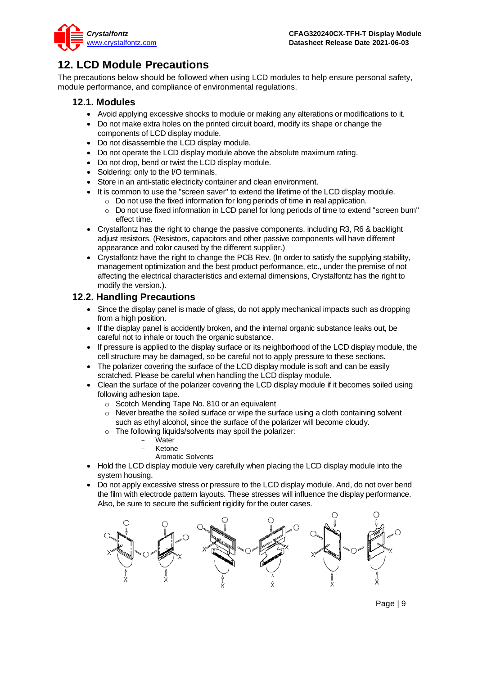

## <span id="page-8-0"></span>**12. LCD Module Precautions**

The precautions below should be followed when using LCD modules to help ensure personal safety, module performance, and compliance of environmental regulations.

### **12.1. Modules**

- Avoid applying excessive shocks to module or making any alterations or modifications to it.
- Do not make extra holes on the printed circuit board, modify its shape or change the components of LCD display module.
- Do not disassemble the LCD display module.
- Do not operate the LCD display module above the absolute maximum rating.
- Do not drop, bend or twist the LCD display module.
- Soldering: only to the I/O terminals.
- Store in an anti-static electricity container and clean environment.
- It is common to use the "screen saver" to extend the lifetime of the LCD display module.
	- o Do not use the fixed information for long periods of time in real application.
	- $\circ$  Do not use fixed information in LCD panel for long periods of time to extend "screen burn" effect time.
- Crystalfontz has the right to change the passive components, including R3, R6 & backlight adjust resistors. (Resistors, capacitors and other passive components will have different appearance and color caused by the different supplier.)
- Crystalfontz have the right to change the PCB Rev. (In order to satisfy the supplying stability, management optimization and the best product performance, etc., under the premise of not affecting the electrical characteristics and external dimensions, Crystalfontz has the right to modify the version.).

### **12.2. Handling Precautions**

- Since the display panel is made of glass, do not apply mechanical impacts such as dropping from a high position.
- If the display panel is accidently broken, and the internal organic substance leaks out, be careful not to inhale or touch the organic substance.
- If pressure is applied to the display surface or its neighborhood of the LCD display module, the cell structure may be damaged, so be careful not to apply pressure to these sections.
- The polarizer covering the surface of the LCD display module is soft and can be easily scratched. Please be careful when handling the LCD display module.
- Clean the surface of the polarizer covering the LCD display module if it becomes soiled using following adhesion tape.
	- o Scotch Mending Tape No. 810 or an equivalent
	- o Never breathe the soiled surface or wipe the surface using a cloth containing solvent such as ethyl alcohol, since the surface of the polarizer will become cloudy.
	- o The following liquids/solvents may spoil the polarizer:
		- **Water**
		- **Ketone**
		- Aromatic Solvents
- Hold the LCD display module very carefully when placing the LCD display module into the system housing.
- Do not apply excessive stress or pressure to the LCD display module. And, do not over bend the film with electrode pattern layouts. These stresses will influence the display performance. Also, be sure to secure the sufficient rigidity for the outer cases.

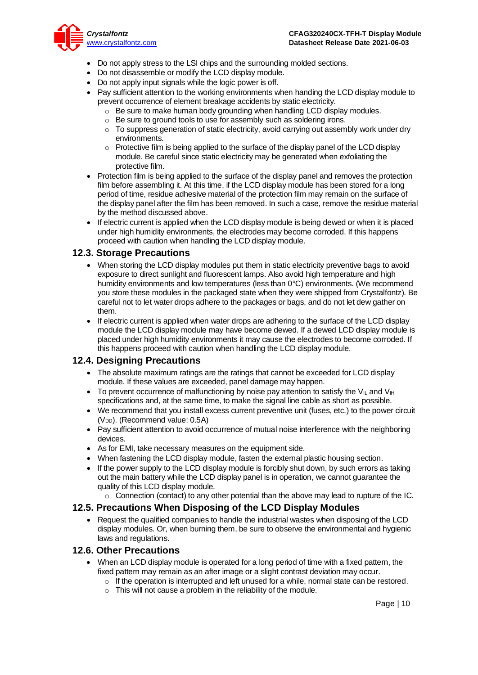

- Do not apply stress to the LSI chips and the surrounding molded sections.
- Do not disassemble or modify the LCD display module.
- Do not apply input signals while the logic power is off.
- Pay sufficient attention to the working environments when handing the LCD display module to prevent occurrence of element breakage accidents by static electricity.
	- o Be sure to make human body grounding when handling LCD display modules.
	- o Be sure to ground tools to use for assembly such as soldering irons.
	- $\circ$  To suppress generation of static electricity, avoid carrying out assembly work under dry environments.
	- $\circ$  Protective film is being applied to the surface of the display panel of the LCD display module. Be careful since static electricity may be generated when exfoliating the protective film.
- Protection film is being applied to the surface of the display panel and removes the protection film before assembling it. At this time, if the LCD display module has been stored for a long period of time, residue adhesive material of the protection film may remain on the surface of the display panel after the film has been removed. In such a case, remove the residue material by the method discussed above.
- If electric current is applied when the LCD display module is being dewed or when it is placed under high humidity environments, the electrodes may become corroded. If this happens proceed with caution when handling the LCD display module.

### **12.3. Storage Precautions**

- When storing the LCD display modules put them in static electricity preventive bags to avoid exposure to direct sunlight and fluorescent lamps. Also avoid high temperature and high humidity environments and low temperatures (less than 0°C) environments. (We recommend you store these modules in the packaged state when they were shipped from Crystalfontz). Be careful not to let water drops adhere to the packages or bags, and do not let dew gather on them.
- If electric current is applied when water drops are adhering to the surface of the LCD display module the LCD display module may have become dewed. If a dewed LCD display module is placed under high humidity environments it may cause the electrodes to become corroded. If this happens proceed with caution when handling the LCD display module.

### **12.4. Designing Precautions**

- The absolute maximum ratings are the ratings that cannot be exceeded for LCD display module. If these values are exceeded, panel damage may happen.
- To prevent occurrence of malfunctioning by noise pay attention to satisfy the V<sub>II</sub> and V<sub>IH</sub> specifications and, at the same time, to make the signal line cable as short as possible.
- We recommend that you install excess current preventive unit (fuses, etc.) to the power circuit (V<sub>DD</sub>). (Recommend value: 0.5A)
- Pay sufficient attention to avoid occurrence of mutual noise interference with the neighboring devices.
- As for EMI, take necessary measures on the equipment side.
- When fastening the LCD display module, fasten the external plastic housing section.
- If the power supply to the LCD display module is forcibly shut down, by such errors as taking out the main battery while the LCD display panel is in operation, we cannot guarantee the quality of this LCD display module.
	- $\circ$  Connection (contact) to any other potential than the above may lead to rupture of the IC.

### **12.5. Precautions When Disposing of the LCD Display Modules**

• Request the qualified companies to handle the industrial wastes when disposing of the LCD display modules. Or, when burning them, be sure to observe the environmental and hygienic laws and regulations.

### **12.6. Other Precautions**

- When an LCD display module is operated for a long period of time with a fixed pattern, the fixed pattern may remain as an after image or a slight contrast deviation may occur.
	- $\circ$  If the operation is interrupted and left unused for a while, normal state can be restored.
	- $\circ$  This will not cause a problem in the reliability of the module.